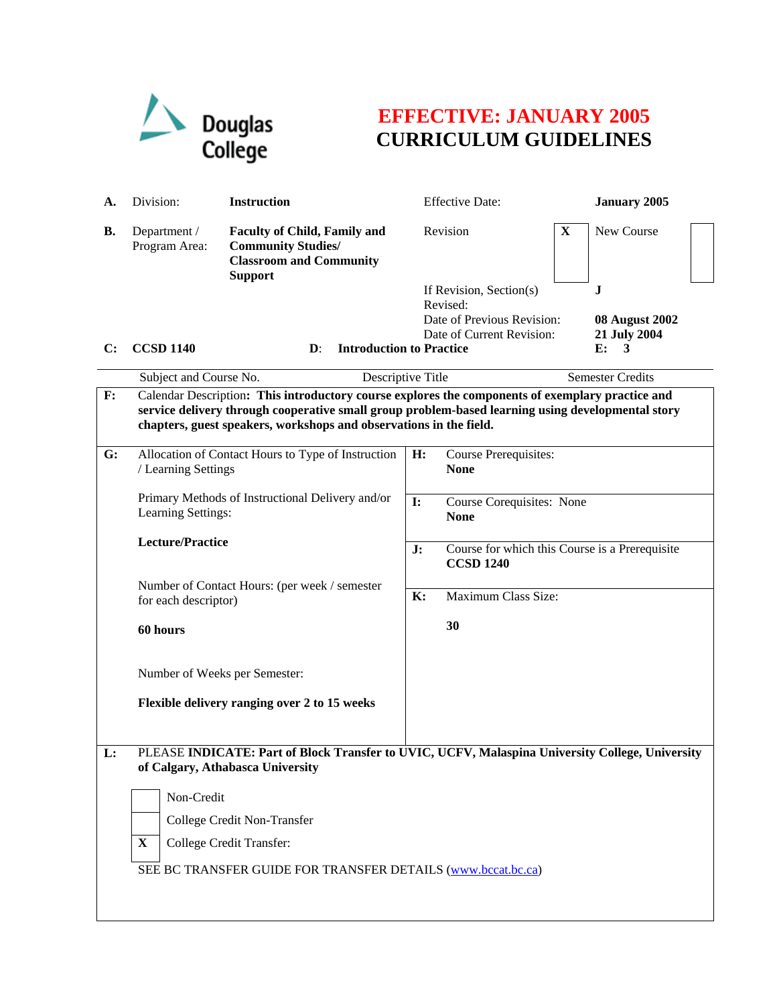

## **EFFECTIVE: JANUARY 2005 CURRICULUM GUIDELINES**

| А.        | Division:                                                                                                                                                                                                                                                                   | <b>Instruction</b>                                                                                                   |                | <b>Effective Date:</b>                                              |   | <b>January 2005</b>                              |  |
|-----------|-----------------------------------------------------------------------------------------------------------------------------------------------------------------------------------------------------------------------------------------------------------------------------|----------------------------------------------------------------------------------------------------------------------|----------------|---------------------------------------------------------------------|---|--------------------------------------------------|--|
| <b>B.</b> | Department /<br>Program Area:                                                                                                                                                                                                                                               | <b>Faculty of Child, Family and</b><br><b>Community Studies/</b><br><b>Classroom and Community</b><br><b>Support</b> |                | Revision                                                            | X | New Course                                       |  |
|           |                                                                                                                                                                                                                                                                             |                                                                                                                      |                | If Revision, Section(s)                                             |   | J                                                |  |
| C:        | <b>CCSD 1140</b>                                                                                                                                                                                                                                                            | <b>Introduction to Practice</b><br>$\mathbf{D}$ :                                                                    |                | Revised:<br>Date of Previous Revision:<br>Date of Current Revision: |   | <b>08 August 2002</b><br>21 July 2004<br>E:<br>3 |  |
|           | Subject and Course No.                                                                                                                                                                                                                                                      | Descriptive Title                                                                                                    |                |                                                                     |   | <b>Semester Credits</b>                          |  |
| F:        | Calendar Description: This introductory course explores the components of exemplary practice and<br>service delivery through cooperative small group problem-based learning using developmental story<br>chapters, guest speakers, workshops and observations in the field. |                                                                                                                      |                |                                                                     |   |                                                  |  |
| G:        | Allocation of Contact Hours to Type of Instruction<br>/ Learning Settings                                                                                                                                                                                                   |                                                                                                                      | H:             | Course Prerequisites:<br><b>None</b>                                |   |                                                  |  |
|           | Primary Methods of Instructional Delivery and/or<br>Learning Settings:                                                                                                                                                                                                      |                                                                                                                      | $\mathbf{I}$ : | Course Corequisites: None<br><b>None</b>                            |   |                                                  |  |
|           | <b>Lecture/Practice</b>                                                                                                                                                                                                                                                     |                                                                                                                      | J:             | Course for which this Course is a Prerequisite<br><b>CCSD 1240</b>  |   |                                                  |  |
|           | Number of Contact Hours: (per week / semester<br>for each descriptor)                                                                                                                                                                                                       |                                                                                                                      | <b>K:</b>      | Maximum Class Size:                                                 |   |                                                  |  |
|           | 60 hours                                                                                                                                                                                                                                                                    |                                                                                                                      |                | 30                                                                  |   |                                                  |  |
|           | Number of Weeks per Semester:                                                                                                                                                                                                                                               |                                                                                                                      |                |                                                                     |   |                                                  |  |
|           |                                                                                                                                                                                                                                                                             | Flexible delivery ranging over 2 to 15 weeks                                                                         |                |                                                                     |   |                                                  |  |
| L:        | PLEASE INDICATE: Part of Block Transfer to UVIC, UCFV, Malaspina University College, University<br>of Calgary, Athabasca University                                                                                                                                         |                                                                                                                      |                |                                                                     |   |                                                  |  |
|           | Non-Credit                                                                                                                                                                                                                                                                  |                                                                                                                      |                |                                                                     |   |                                                  |  |
|           | College Credit Non-Transfer                                                                                                                                                                                                                                                 |                                                                                                                      |                |                                                                     |   |                                                  |  |
|           | College Credit Transfer:<br>$\mathbf{X}$                                                                                                                                                                                                                                    |                                                                                                                      |                |                                                                     |   |                                                  |  |
|           | SEE BC TRANSFER GUIDE FOR TRANSFER DETAILS (www.bccat.bc.ca)                                                                                                                                                                                                                |                                                                                                                      |                |                                                                     |   |                                                  |  |
|           |                                                                                                                                                                                                                                                                             |                                                                                                                      |                |                                                                     |   |                                                  |  |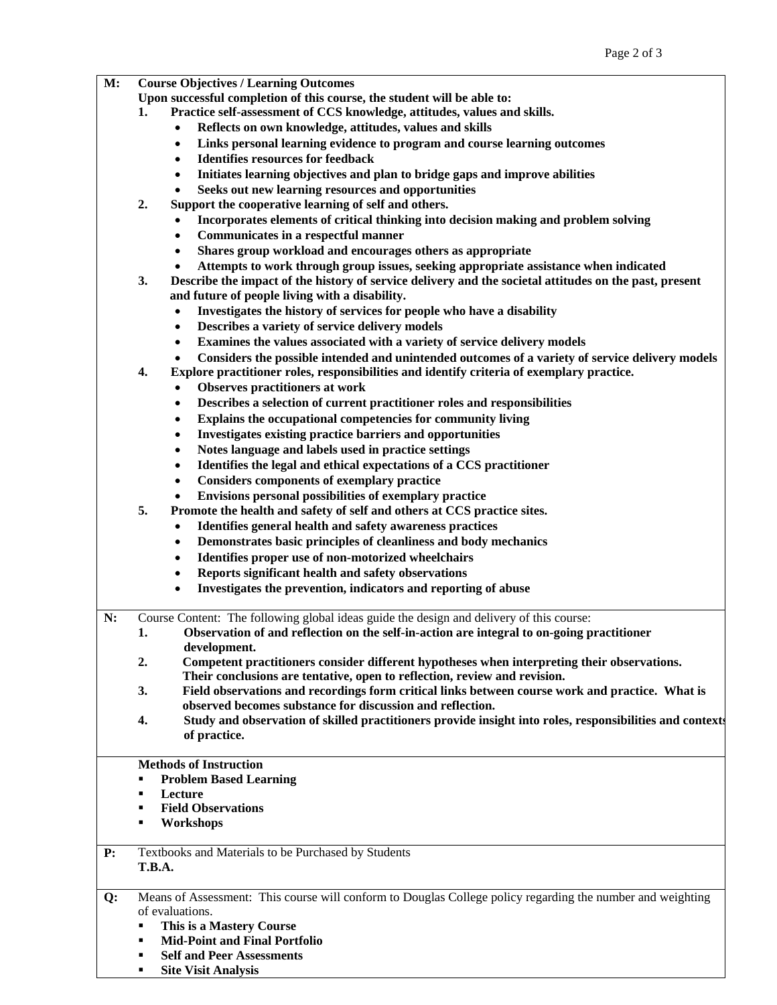- **M: Course Objectives / Learning Outcomes** 
	- **Upon successful completion of this course, the student will be able to:**
	- **1. Practice self-assessment of CCS knowledge, attitudes, values and skills.** 
		- **Reflects on own knowledge, attitudes, values and skills**
		- **Links personal learning evidence to program and course learning outcomes**
		- **Identifies resources for feedback**
		- **Initiates learning objectives and plan to bridge gaps and improve abilities**
		- **Seeks out new learning resources and opportunities**
	- **2. Support the cooperative learning of self and others.** 
		- **Incorporates elements of critical thinking into decision making and problem solving**
		- **Communicates in a respectful manner**
		- **Shares group workload and encourages others as appropriate**
		- **Attempts to work through group issues, seeking appropriate assistance when indicated**
	- **3. Describe the impact of the history of service delivery and the societal attitudes on the past, present and future of people living with a disability.** 
		- **Investigates the history of services for people who have a disability**
		- **Describes a variety of service delivery models**
		- **Examines the values associated with a variety of service delivery models**
		- **Considers the possible intended and unintended outcomes of a variety of service delivery models**
	- **4. Explore practitioner roles, responsibilities and identify criteria of exemplary practice.** 
		- **Observes practitioners at work**
		- **Describes a selection of current practitioner roles and responsibilities**
		- **Explains the occupational competencies for community living**
		- **Investigates existing practice barriers and opportunities**
		- **Notes language and labels used in practice settings**
		- **Identifies the legal and ethical expectations of a CCS practitioner**
		- **Considers components of exemplary practice**
		- **Envisions personal possibilities of exemplary practice**
	- **5. Promote the health and safety of self and others at CCS practice sites.** 
		- **Identifies general health and safety awareness practices**
		- **Demonstrates basic principles of cleanliness and body mechanics**
		- **Identifies proper use of non-motorized wheelchairs**
		- **Reports significant health and safety observations**
		- **Investigates the prevention, indicators and reporting of abuse**

**N:** Course Content: The following global ideas guide the design and delivery of this course:

**1. Observation of and reflection on the self-in-action are integral to on-going practitioner development.** 

**2. Competent practitioners consider different hypotheses when interpreting their observations. Their conclusions are tentative, open to reflection, review and revision.** 

**3. Field observations and recordings form critical links between course work and practice. What is observed becomes substance for discussion and reflection.** 

**4. Study and observation of skilled practitioners provide insight into roles, responsibilities and contexts of practice.** 

## **Methods of Instruction**

- **Problem Based Learning**
- **Lecture**
- **Field Observations**
- **Workshops**

**P:** Textbooks and Materials to be Purchased by Students **T.B.A.** 

**Q:** Means of Assessment: This course will conform to Douglas College policy regarding the number and weighting of evaluations.

- **This is a Mastery Course**
- **Mid-Point and Final Portfolio**
- **Self and Peer Assessments**
- **Site Visit Analysis**